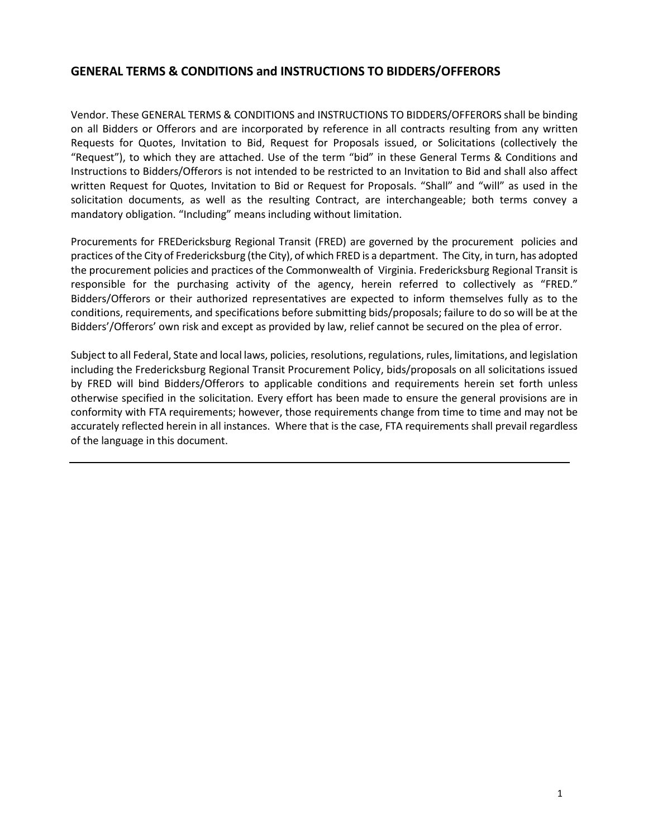# **GENERAL TERMS & CONDITIONS and INSTRUCTIONS TO BIDDERS/OFFERORS**

Vendor. These GENERAL TERMS & CONDITIONS and INSTRUCTIONS TO BIDDERS/OFFERORS shall be binding on all Bidders or Offerors and are incorporated by reference in all contracts resulting from any written Requests for Quotes, Invitation to Bid, Request for Proposals issued, or Solicitations (collectively the "Request"), to which they are attached. Use of the term "bid" in these General Terms & Conditions and Instructions to Bidders/Offerors is not intended to be restricted to an Invitation to Bid and shall also affect written Request for Quotes, Invitation to Bid or Request for Proposals. "Shall" and "will" as used in the solicitation documents, as well as the resulting Contract, are interchangeable; both terms convey a mandatory obligation. "Including" means including without limitation.

Procurements for FREDericksburg Regional Transit (FRED) are governed by the procurement policies and practices ofthe City of Fredericksburg (the City), of which FRED is a department. The City, in turn, has adopted the procurement policies and practices of the Commonwealth of Virginia. Fredericksburg Regional Transit is responsible for the purchasing activity of the agency, herein referred to collectively as "FRED." Bidders/Offerors or their authorized representatives are expected to inform themselves fully as to the conditions, requirements, and specifications before submitting bids/proposals; failure to do so will be at the Bidders'/Offerors' own risk and except as provided by law, relief cannot be secured on the plea of error.

Subject to all Federal, State and local laws, policies, resolutions, regulations, rules, limitations, and legislation including the Fredericksburg Regional Transit Procurement Policy, bids/proposals on all solicitations issued by FRED will bind Bidders/Offerors to applicable conditions and requirements herein set forth unless otherwise specified in the solicitation. Every effort has been made to ensure the general provisions are in conformity with FTA requirements; however, those requirements change from time to time and may not be accurately reflected herein in all instances. Where that is the case, FTA requirements shall prevail regardless of the language in this document.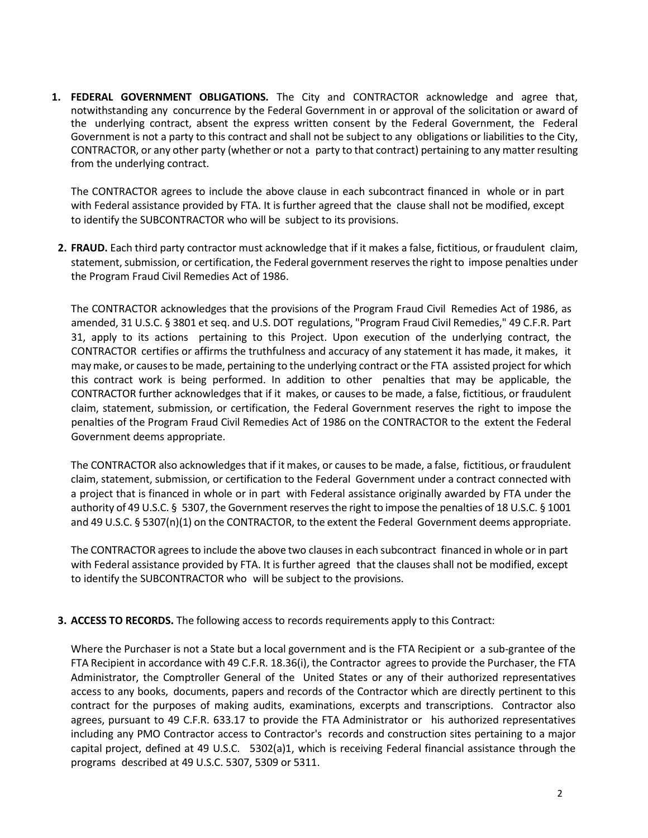**1. FEDERAL GOVERNMENT OBLIGATIONS.** The City and CONTRACTOR acknowledge and agree that, notwithstanding any concurrence by the Federal Government in or approval of the solicitation or award of the underlying contract, absent the express written consent by the Federal Government, the Federal Government is not a party to this contract and shall not be subject to any obligations or liabilities to the City, CONTRACTOR, or any other party (whether or not a party to that contract) pertaining to any matter resulting from the underlying contract.

The CONTRACTOR agrees to include the above clause in each subcontract financed in whole or in part with Federal assistance provided by FTA. It is further agreed that the clause shall not be modified, except to identify the SUBCONTRACTOR who will be subject to its provisions.

**2. FRAUD.** Each third party contractor must acknowledge that if it makes a false, fictitious, or fraudulent claim, statement, submission, or certification, the Federal government reservesthe right to impose penalties under the Program Fraud Civil Remedies Act of 1986.

The CONTRACTOR acknowledges that the provisions of the Program Fraud Civil Remedies Act of 1986, as amended, 31 U.S.C. § 3801 et seq. and U.S. DOT regulations, "Program Fraud Civil Remedies," 49 C.F.R. Part 31, apply to its actions pertaining to this Project. Upon execution of the underlying contract, the CONTRACTOR certifies or affirms the truthfulness and accuracy of any statement it has made, it makes, it maymake, or causesto be made, pertaining to the underlying contract orthe FTA assisted project for which this contract work is being performed. In addition to other penalties that may be applicable, the CONTRACTOR further acknowledges that if it makes, or causes to be made, a false, fictitious, or fraudulent claim, statement, submission, or certification, the Federal Government reserves the right to impose the penalties of the Program Fraud Civil Remedies Act of 1986 on the CONTRACTOR to the extent the Federal Government deems appropriate.

The CONTRACTOR also acknowledges that if it makes, or causes to be made, a false, fictitious, or fraudulent claim, statement, submission, or certification to the Federal Government under a contract connected with a project that is financed in whole or in part with Federal assistance originally awarded by FTA under the authority of 49 U.S.C. § 5307, the Government reserves the right to impose the penalties of 18 U.S.C. § 1001 and 49 U.S.C. § 5307(n)(1) on the CONTRACTOR, to the extent the Federal Government deems appropriate.

The CONTRACTOR agreesto include the above two clauses in each subcontract financed in whole or in part with Federal assistance provided by FTA. It is further agreed that the clauses shall not be modified, except to identify the SUBCONTRACTOR who will be subject to the provisions.

## **3. ACCESS TO RECORDS.** The following access to records requirements apply to this Contract:

Where the Purchaser is not a State but a local government and is the FTA Recipient or a sub-grantee of the FTA Recipient in accordance with 49 C.F.R. 18.36(i), the Contractor agrees to provide the Purchaser, the FTA Administrator, the Comptroller General of the United States or any of their authorized representatives access to any books, documents, papers and records of the Contractor which are directly pertinent to this contract for the purposes of making audits, examinations, excerpts and transcriptions. Contractor also agrees, pursuant to 49 C.F.R. 633.17 to provide the FTA Administrator or his authorized representatives including any PMO Contractor access to Contractor's records and construction sites pertaining to a major capital project, defined at 49 U.S.C. 5302(a)1, which is receiving Federal financial assistance through the programs described at 49 U.S.C. 5307, 5309 or 5311.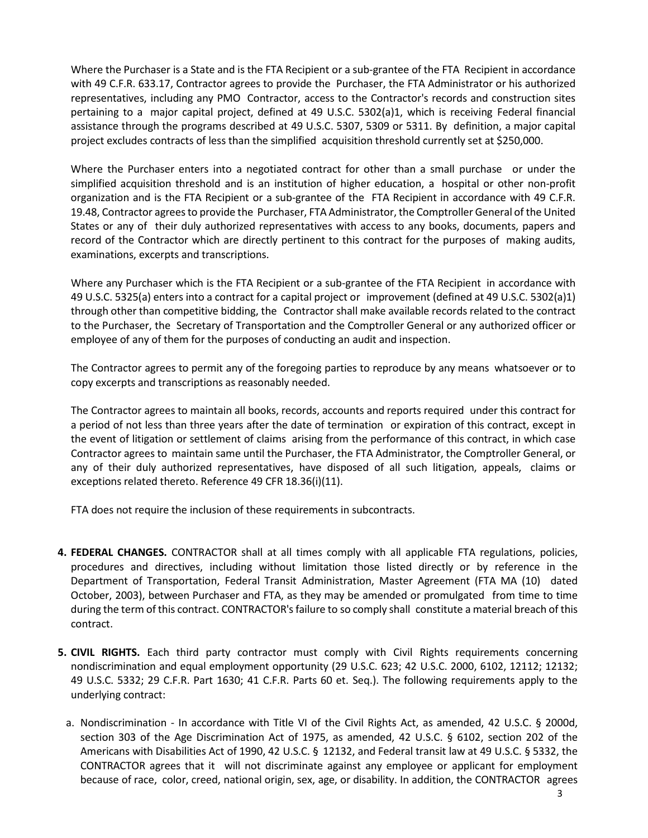Where the Purchaser is a State and is the FTA Recipient or a sub-grantee of the FTA Recipient in accordance with 49 C.F.R. 633.17, Contractor agrees to provide the Purchaser, the FTA Administrator or his authorized representatives, including any PMO Contractor, access to the Contractor's records and construction sites pertaining to a major capital project, defined at 49 U.S.C. 5302(a)1, which is receiving Federal financial assistance through the programs described at 49 U.S.C. 5307, 5309 or 5311. By definition, a major capital project excludes contracts of less than the simplified acquisition threshold currently set at \$250,000.

Where the Purchaser enters into a negotiated contract for other than a small purchase or under the simplified acquisition threshold and is an institution of higher education, a hospital or other non-profit organization and is the FTA Recipient or a sub-grantee of the FTA Recipient in accordance with 49 C.F.R. 19.48, Contractor agreesto provide the Purchaser, FTA Administrator, the Comptroller General of the United States or any of their duly authorized representatives with access to any books, documents, papers and record of the Contractor which are directly pertinent to this contract for the purposes of making audits, examinations, excerpts and transcriptions.

Where any Purchaser which is the FTA Recipient or a sub-grantee of the FTA Recipient in accordance with 49 U.S.C. 5325(a) enters into a contract for a capital project or improvement (defined at 49 U.S.C. 5302(a)1) through other than competitive bidding, the Contractor shall make available records related to the contract to the Purchaser, the Secretary of Transportation and the Comptroller General or any authorized officer or employee of any of them for the purposes of conducting an audit and inspection.

The Contractor agrees to permit any of the foregoing parties to reproduce by any means whatsoever or to copy excerpts and transcriptions as reasonably needed.

The Contractor agrees to maintain all books, records, accounts and reports required under this contract for a period of not less than three years after the date of termination or expiration of this contract, except in the event of litigation or settlement of claims arising from the performance of this contract, in which case Contractor agrees to maintain same until the Purchaser, the FTA Administrator, the Comptroller General, or any of their duly authorized representatives, have disposed of all such litigation, appeals, claims or exceptions related thereto. Reference 49 CFR 18.36(i)(11).

FTA does not require the inclusion of these requirements in subcontracts.

- **4. FEDERAL CHANGES.** CONTRACTOR shall at all times comply with all applicable FTA regulations, policies, procedures and directives, including without limitation those listed directly or by reference in the Department of Transportation, Federal Transit Administration, Master Agreement (FTA MA (10) dated October, 2003), between Purchaser and FTA, as they may be amended or promulgated from time to time during the term of this contract. CONTRACTOR's failure to so comply shall constitute a material breach of this contract.
- **5. CIVIL RIGHTS.** Each third party contractor must comply with Civil Rights requirements concerning nondiscrimination and equal employment opportunity (29 U.S.C. 623; 42 U.S.C. 2000, 6102, 12112; 12132; 49 U.S.C. 5332; 29 C.F.R. Part 1630; 41 C.F.R. Parts 60 et. Seq.). The following requirements apply to the underlying contract:
	- a. Nondiscrimination In accordance with Title VI of the Civil Rights Act, as amended, 42 U.S.C. § 2000d, section 303 of the Age Discrimination Act of 1975, as amended, 42 U.S.C. § 6102, section 202 of the Americans with Disabilities Act of 1990, 42 U.S.C. § 12132, and Federal transit law at 49 U.S.C. § 5332, the CONTRACTOR agrees that it will not discriminate against any employee or applicant for employment because of race, color, creed, national origin, sex, age, or disability. In addition, the CONTRACTOR agrees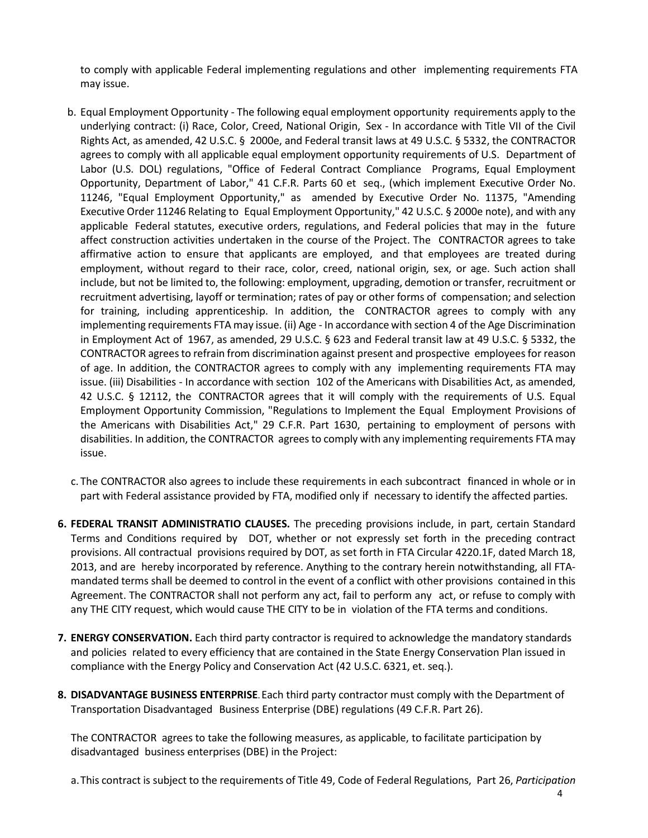to comply with applicable Federal implementing regulations and other implementing requirements FTA may issue.

- b. Equal Employment Opportunity The following equal employment opportunity requirements apply to the underlying contract: (i) Race, Color, Creed, National Origin, Sex - In accordance with Title VII of the Civil Rights Act, as amended, 42 U.S.C. § 2000e, and Federal transit laws at 49 U.S.C. § 5332, the CONTRACTOR agrees to comply with all applicable equal employment opportunity requirements of U.S. Department of Labor (U.S. DOL) regulations, "Office of Federal Contract Compliance Programs, Equal Employment Opportunity, Department of Labor," 41 C.F.R. Parts 60 et seq., (which implement Executive Order No. 11246, "Equal Employment Opportunity," as amended by Executive Order No. 11375, "Amending Executive Order 11246 Relating to Equal Employment Opportunity," 42 U.S.C. § 2000e note), and with any applicable Federal statutes, executive orders, regulations, and Federal policies that may in the future affect construction activities undertaken in the course of the Project. The CONTRACTOR agrees to take affirmative action to ensure that applicants are employed, and that employees are treated during employment, without regard to their race, color, creed, national origin, sex, or age. Such action shall include, but not be limited to, the following: employment, upgrading, demotion ortransfer, recruitment or recruitment advertising, layoff or termination; rates of pay or other forms of compensation; and selection for training, including apprenticeship. In addition, the CONTRACTOR agrees to comply with any implementing requirements FTA may issue. (ii) Age - In accordance with section 4 of the Age Discrimination in Employment Act of 1967, as amended, 29 U.S.C. § 623 and Federal transit law at 49 U.S.C. § 5332, the CONTRACTOR agreesto refrain from discrimination against present and prospective employeesfor reason of age. In addition, the CONTRACTOR agrees to comply with any implementing requirements FTA may issue. (iii) Disabilities - In accordance with section 102 of the Americans with Disabilities Act, as amended, 42 U.S.C. § 12112, the CONTRACTOR agrees that it will comply with the requirements of U.S. Equal Employment Opportunity Commission, "Regulations to Implement the Equal Employment Provisions of the Americans with Disabilities Act," 29 C.F.R. Part 1630, pertaining to employment of persons with disabilities. In addition, the CONTRACTOR agrees to comply with any implementing requirements FTA may issue.
- c. The CONTRACTOR also agrees to include these requirements in each subcontract financed in whole or in part with Federal assistance provided by FTA, modified only if necessary to identify the affected parties.
- **6. FEDERAL TRANSIT ADMINISTRATIO CLAUSES.** The preceding provisions include, in part, certain Standard Terms and Conditions required by DOT, whether or not expressly set forth in the preceding contract provisions. All contractual provisions required by DOT, as set forth in FTA Circular 4220.1F, dated March 18, 2013, and are hereby incorporated by reference. Anything to the contrary herein notwithstanding, all FTAmandated terms shall be deemed to control in the event of a conflict with other provisions contained in this Agreement. The CONTRACTOR shall not perform any act, fail to perform any act, or refuse to comply with any THE CITY request, which would cause THE CITY to be in violation of the FTA terms and conditions.
- **7. ENERGY CONSERVATION.** Each third party contractor is required to acknowledge the mandatory standards and policies related to every efficiency that are contained in the State Energy Conservation Plan issued in compliance with the Energy Policy and Conservation Act (42 U.S.C. 6321, et. seq.).
- **8. DISADVANTAGE BUSINESS ENTERPRISE.** Each third party contractor must comply with the Department of Transportation Disadvantaged Business Enterprise (DBE) regulations (49 C.F.R. Part 26).

The CONTRACTOR agrees to take the following measures, as applicable, to facilitate participation by disadvantaged business enterprises (DBE) in the Project:

a.This contract is subject to the requirements of Title 49, Code of Federal Regulations, Part 26, *Participation*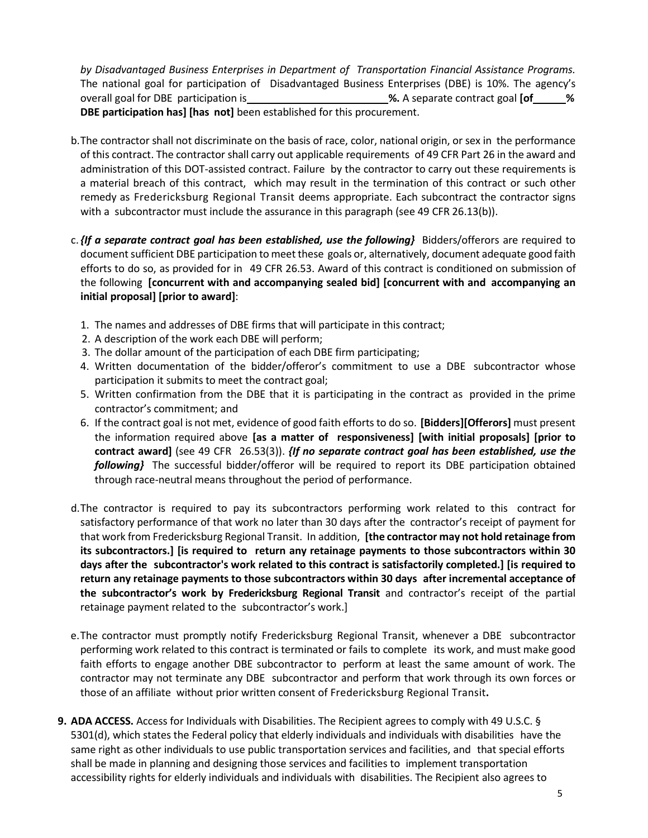*by Disadvantaged Business Enterprises in Department of Transportation Financial Assistance Programs.*  The national goal for participation of Disadvantaged Business Enterprises (DBE) is 10%. The agency's overall goal for DBE participation is **%.** A separate contract goal **[of % DBE participation has] [has not]** been established for this procurement.

- b.The contractor shall not discriminate on the basis of race, color, national origin, or sex in the performance of this contract. The contractor shall carry out applicable requirements of 49 CFR Part 26 in the award and administration of this DOT-assisted contract. Failure by the contractor to carry out these requirements is a material breach of this contract, which may result in the termination of this contract or such other remedy as Fredericksburg Regional Transit deems appropriate. Each subcontract the contractor signs with a subcontractor must include the assurance in this paragraph (see 49 CFR 26.13(b)).
- c.*{If a separate contract goal has been established, use the following}* Bidders/offerors are required to document sufficient DBE participation to meet these goals or, alternatively, document adequate good faith efforts to do so, as provided for in 49 CFR 26.53. Award of this contract is conditioned on submission of the following **[concurrent with and accompanying sealed bid] [concurrent with and accompanying an initial proposal] [prior to award]**:
	- 1. The names and addresses of DBE firms that will participate in this contract;
	- 2. A description of the work each DBE will perform;
	- 3. The dollar amount of the participation of each DBE firm participating;
	- 4. Written documentation of the bidder/offeror's commitment to use a DBE subcontractor whose participation it submits to meet the contract goal;
	- 5. Written confirmation from the DBE that it is participating in the contract as provided in the prime contractor's commitment; and
	- 6. If the contract goal is not met, evidence of good faith efforts to do so. **[Bidders][Offerors]** must present the information required above **[as a matter of responsiveness] [with initial proposals] [prior to contract award]** (see 49 CFR 26.53(3)). *{If no separate contract goal has been established, use the following}* The successful bidder/offeror will be required to report its DBE participation obtained through race-neutral means throughout the period of performance.
- d.The contractor is required to pay its subcontractors performing work related to this contract for satisfactory performance of that work no later than 30 days after the contractor's receipt of payment for that work from Fredericksburg Regional Transit. In addition, **[the contractor may not hold retainage from its subcontractors.] [is required to return any retainage payments to those subcontractors within 30 days after the subcontractor's work related to this contract is satisfactorily completed.] [is required to return any retainage payments to those subcontractors within 30 days after incremental acceptance of the subcontractor's work by Fredericksburg Regional Transit** and contractor's receipt of the partial retainage payment related to the subcontractor's work.]
- e.The contractor must promptly notify Fredericksburg Regional Transit, whenever a DBE subcontractor performing work related to this contract is terminated or fails to complete its work, and must make good faith efforts to engage another DBE subcontractor to perform at least the same amount of work. The contractor may not terminate any DBE subcontractor and perform that work through its own forces or those of an affiliate without prior written consent of Fredericksburg Regional Transit**.**
- **9. ADA ACCESS.** Access for Individuals with Disabilities. The Recipient agrees to comply with 49 U.S.C. § 5301(d), which states the Federal policy that elderly individuals and individuals with disabilities have the same right as other individuals to use public transportation services and facilities, and that special efforts shall be made in planning and designing those services and facilities to implement transportation accessibility rights for elderly individuals and individuals with disabilities. The Recipient also agrees to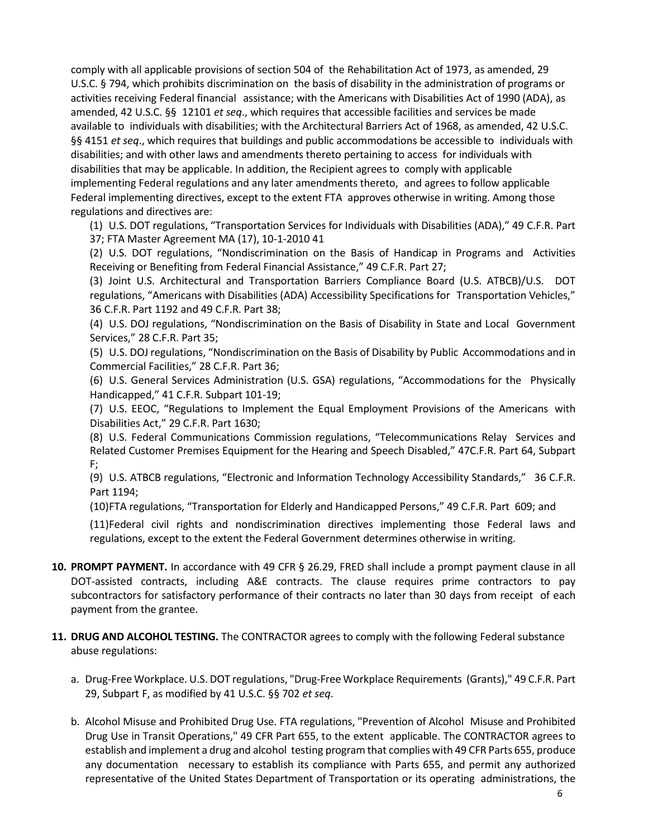comply with all applicable provisions of section 504 of the Rehabilitation Act of 1973, as amended, 29 U.S.C. § 794, which prohibits discrimination on the basis of disability in the administration of programs or activities receiving Federal financial assistance; with the Americans with Disabilities Act of 1990 (ADA), as amended, 42 U.S.C. §§ 12101 *et seq*., which requires that accessible facilities and services be made available to individuals with disabilities; with the Architectural Barriers Act of 1968, as amended, 42 U.S.C. §§ 4151 *et seq*., which requires that buildings and public accommodations be accessible to individuals with disabilities; and with other laws and amendments thereto pertaining to access for individuals with disabilities that may be applicable. In addition, the Recipient agrees to comply with applicable implementing Federal regulations and any later amendments thereto, and agrees to follow applicable Federal implementing directives, except to the extent FTA approves otherwise in writing. Among those regulations and directives are:

(1) U.S. DOT regulations, "Transportation Services for Individuals with Disabilities (ADA)," 49 C.F.R. Part 37; FTA Master Agreement MA (17), 10-1-2010 41

(2) U.S. DOT regulations, "Nondiscrimination on the Basis of Handicap in Programs and Activities Receiving or Benefiting from Federal Financial Assistance," 49 C.F.R. Part 27;

(3) Joint U.S. Architectural and Transportation Barriers Compliance Board (U.S. ATBCB)/U.S. DOT regulations, "Americans with Disabilities (ADA) Accessibility Specifications for Transportation Vehicles," 36 C.F.R. Part 1192 and 49 C.F.R. Part 38;

(4) U.S. DOJ regulations, "Nondiscrimination on the Basis of Disability in State and Local Government Services," 28 C.F.R. Part 35;

(5) U.S. DOJ regulations, "Nondiscrimination on the Basis of Disability by Public Accommodations and in Commercial Facilities," 28 C.F.R. Part 36;

(6) U.S. General Services Administration (U.S. GSA) regulations, "Accommodations for the Physically Handicapped," 41 C.F.R. Subpart 101-19;

(7) U.S. EEOC, "Regulations to Implement the Equal Employment Provisions of the Americans with Disabilities Act," 29 C.F.R. Part 1630;

(8) U.S. Federal Communications Commission regulations, "Telecommunications Relay Services and Related Customer Premises Equipment for the Hearing and Speech Disabled," 47C.F.R. Part 64, Subpart F;

(9) U.S. ATBCB regulations, "Electronic and Information Technology Accessibility Standards," 36 C.F.R. Part 1194;

(10)FTA regulations, "Transportation for Elderly and Handicapped Persons," 49 C.F.R. Part 609; and

(11)Federal civil rights and nondiscrimination directives implementing those Federal laws and regulations, except to the extent the Federal Government determines otherwise in writing.

- **10. PROMPT PAYMENT.** In accordance with 49 CFR § 26.29, FRED shall include a prompt payment clause in all DOT-assisted contracts, including A&E contracts. The clause requires prime contractors to pay subcontractors for satisfactory performance of their contracts no later than 30 days from receipt of each payment from the grantee.
- **11. DRUG AND ALCOHOL TESTING.** The CONTRACTOR agrees to comply with the following Federal substance abuse regulations:
	- a. Drug-Free Workplace. U.S. DOT regulations, "Drug-Free Workplace Requirements (Grants)," 49 C.F.R. Part 29, Subpart F, as modified by 41 U.S.C. §§ 702 *et seq*.
	- b. Alcohol Misuse and Prohibited Drug Use. FTA regulations, "Prevention of Alcohol Misuse and Prohibited Drug Use in Transit Operations," 49 CFR Part 655, to the extent applicable. The CONTRACTOR agrees to establish and implement a drug and alcohol testing program that complies with 49 CFR Parts 655, produce any documentation necessary to establish its compliance with Parts 655, and permit any authorized representative of the United States Department of Transportation or its operating administrations, the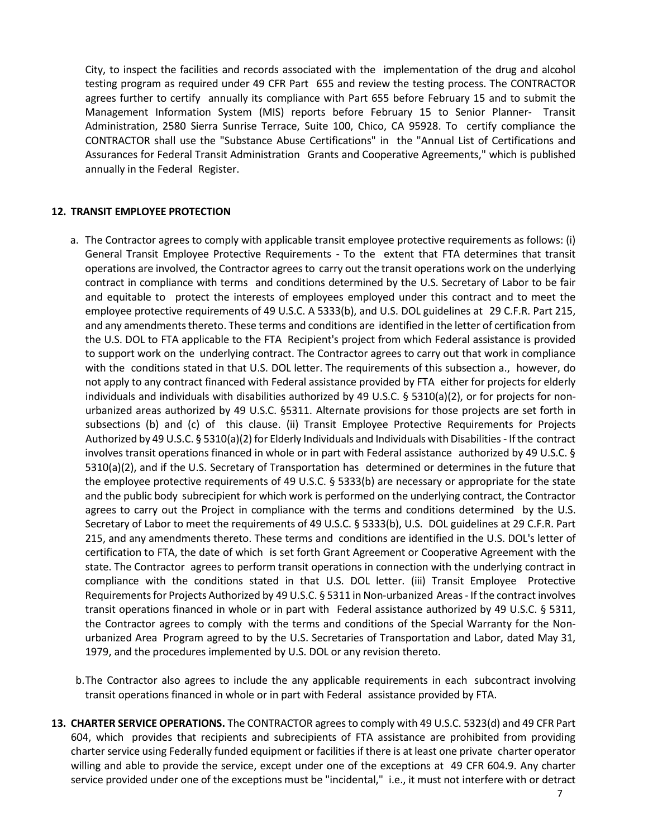City, to inspect the facilities and records associated with the implementation of the drug and alcohol testing program as required under 49 CFR Part 655 and review the testing process. The CONTRACTOR agrees further to certify annually its compliance with Part 655 before February 15 and to submit the Management Information System (MIS) reports before February 15 to Senior Planner- Transit Administration, 2580 Sierra Sunrise Terrace, Suite 100, Chico, CA 95928. To certify compliance the CONTRACTOR shall use the "Substance Abuse Certifications" in the "Annual List of Certifications and Assurances for Federal Transit Administration Grants and Cooperative Agreements," which is published annually in the Federal Register.

#### **12. TRANSIT EMPLOYEE PROTECTION**

- a. The Contractor agrees to comply with applicable transit employee protective requirements as follows: (i) General Transit Employee Protective Requirements - To the extent that FTA determines that transit operations are involved, the Contractor agrees to carry out the transit operations work on the underlying contract in compliance with terms and conditions determined by the U.S. Secretary of Labor to be fair and equitable to protect the interests of employees employed under this contract and to meet the employee protective requirements of 49 U.S.C. A 5333(b), and U.S. DOL guidelines at 29 C.F.R. Part 215, and any amendments thereto. These terms and conditions are identified in the letter of certification from the U.S. DOL to FTA applicable to the FTA Recipient's project from which Federal assistance is provided to support work on the underlying contract. The Contractor agrees to carry out that work in compliance with the conditions stated in that U.S. DOL letter. The requirements of this subsection a., however, do not apply to any contract financed with Federal assistance provided by FTA either for projects for elderly individuals and individuals with disabilities authorized by 49 U.S.C. § 5310(a)(2), or for projects for nonurbanized areas authorized by 49 U.S.C. §5311. Alternate provisions for those projects are set forth in subsections (b) and (c) of this clause. (ii) Transit Employee Protective Requirements for Projects Authorized by 49 U.S.C. § 5310(a)(2) for Elderly Individuals and Individuals with Disabilities - If the contract involves transit operations financed in whole or in part with Federal assistance authorized by 49 U.S.C. § 5310(a)(2), and if the U.S. Secretary of Transportation has determined or determines in the future that the employee protective requirements of 49 U.S.C. § 5333(b) are necessary or appropriate for the state and the public body subrecipient for which work is performed on the underlying contract, the Contractor agrees to carry out the Project in compliance with the terms and conditions determined by the U.S. Secretary of Labor to meet the requirements of 49 U.S.C. § 5333(b), U.S. DOL guidelines at 29 C.F.R. Part 215, and any amendments thereto. These terms and conditions are identified in the U.S. DOL's letter of certification to FTA, the date of which is set forth Grant Agreement or Cooperative Agreement with the state. The Contractor agrees to perform transit operations in connection with the underlying contract in compliance with the conditions stated in that U.S. DOL letter. (iii) Transit Employee Protective Requirementsfor Projects Authorized by 49 U.S.C. § 5311 in Non-urbanized Areas - If the contract involves transit operations financed in whole or in part with Federal assistance authorized by 49 U.S.C. § 5311, the Contractor agrees to comply with the terms and conditions of the Special Warranty for the Nonurbanized Area Program agreed to by the U.S. Secretaries of Transportation and Labor, dated May 31, 1979, and the procedures implemented by U.S. DOL or any revision thereto.
- b.The Contractor also agrees to include the any applicable requirements in each subcontract involving transit operations financed in whole or in part with Federal assistance provided by FTA.
- **13. CHARTER SERVICE OPERATIONS.** The CONTRACTOR agrees to comply with 49 U.S.C. 5323(d) and 49 CFR Part 604, which provides that recipients and subrecipients of FTA assistance are prohibited from providing charter service using Federally funded equipment or facilities if there is at least one private charter operator willing and able to provide the service, except under one of the exceptions at 49 CFR 604.9. Any charter service provided under one of the exceptions must be "incidental," i.e., it must not interfere with or detract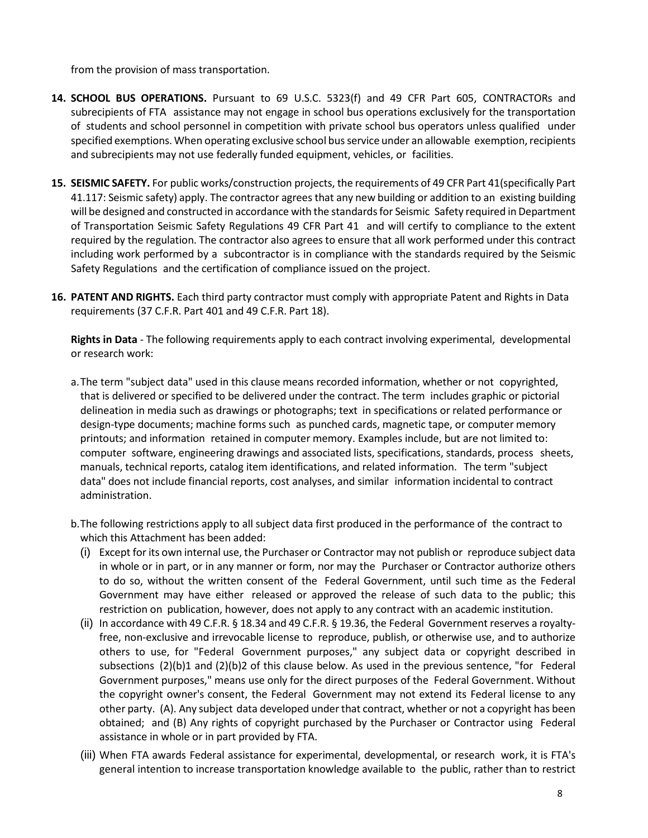from the provision of mass transportation.

- **14. SCHOOL BUS OPERATIONS.** Pursuant to 69 U.S.C. 5323(f) and 49 CFR Part 605, CONTRACTORs and subrecipients of FTA assistance may not engage in school bus operations exclusively for the transportation of students and school personnel in competition with private school bus operators unless qualified under specified exemptions. When operating exclusive school busservice under an allowable exemption, recipients and subrecipients may not use federally funded equipment, vehicles, or facilities.
- **15. SEISMIC SAFETY.** For public works/construction projects, the requirements of 49 CFR Part 41(specifically Part 41.117: Seismic safety) apply. The contractor agrees that any new building or addition to an existing building will be designed and constructed in accordance with the standards for Seismic Safety required in Department of Transportation Seismic Safety Regulations 49 CFR Part 41 and will certify to compliance to the extent required by the regulation. The contractor also agrees to ensure that all work performed under this contract including work performed by a subcontractor is in compliance with the standards required by the Seismic Safety Regulations and the certification of compliance issued on the project.
- **16. PATENT AND RIGHTS.** Each third party contractor must comply with appropriate Patent and Rights in Data requirements (37 C.F.R. Part 401 and 49 C.F.R. Part 18).

**Rights in Data** - The following requirements apply to each contract involving experimental, developmental or research work:

- a.The term "subject data" used in this clause means recorded information, whether or not copyrighted, that is delivered or specified to be delivered under the contract. The term includes graphic or pictorial delineation in media such as drawings or photographs; text in specifications or related performance or design-type documents; machine forms such as punched cards, magnetic tape, or computer memory printouts; and information retained in computer memory. Examples include, but are not limited to: computer software, engineering drawings and associated lists, specifications, standards, process sheets, manuals, technical reports, catalog item identifications, and related information. The term "subject data" does not include financial reports, cost analyses, and similar information incidental to contract administration.
- b.The following restrictions apply to all subject data first produced in the performance of the contract to which this Attachment has been added:
	- (i) Except for its own internal use, the Purchaser or Contractor may not publish or reproduce subject data in whole or in part, or in any manner or form, nor may the Purchaser or Contractor authorize others to do so, without the written consent of the Federal Government, until such time as the Federal Government may have either released or approved the release of such data to the public; this restriction on publication, however, does not apply to any contract with an academic institution.
	- (ii) In accordance with 49 C.F.R. § 18.34 and 49 C.F.R. § 19.36, the Federal Government reserves a royaltyfree, non-exclusive and irrevocable license to reproduce, publish, or otherwise use, and to authorize others to use, for "Federal Government purposes," any subject data or copyright described in subsections (2)(b)1 and (2)(b)2 of this clause below. As used in the previous sentence, "for Federal Government purposes," means use only for the direct purposes of the Federal Government. Without the copyright owner's consent, the Federal Government may not extend its Federal license to any other party. (A). Any subject data developed under that contract, whether or not a copyright has been obtained; and (B) Any rights of copyright purchased by the Purchaser or Contractor using Federal assistance in whole or in part provided by FTA.
	- (iii) When FTA awards Federal assistance for experimental, developmental, or research work, it is FTA's general intention to increase transportation knowledge available to the public, rather than to restrict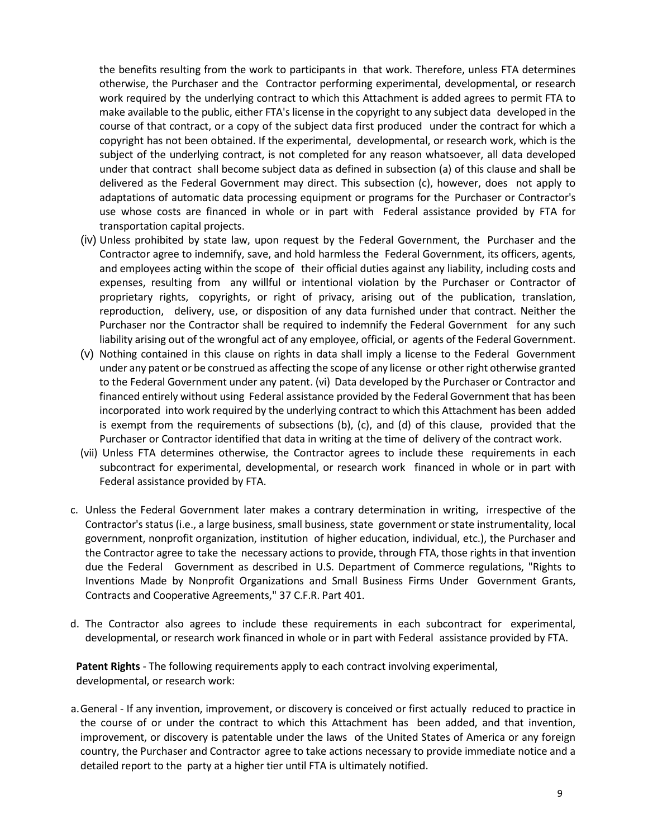the benefits resulting from the work to participants in that work. Therefore, unless FTA determines otherwise, the Purchaser and the Contractor performing experimental, developmental, or research work required by the underlying contract to which this Attachment is added agrees to permit FTA to make available to the public, either FTA'slicense in the copyright to any subject data developed in the course of that contract, or a copy of the subject data first produced under the contract for which a copyright has not been obtained. If the experimental, developmental, or research work, which is the subject of the underlying contract, is not completed for any reason whatsoever, all data developed under that contract shall become subject data as defined in subsection (a) of this clause and shall be delivered as the Federal Government may direct. This subsection (c), however, does not apply to adaptations of automatic data processing equipment or programs for the Purchaser or Contractor's use whose costs are financed in whole or in part with Federal assistance provided by FTA for transportation capital projects.

- (iv) Unless prohibited by state law, upon request by the Federal Government, the Purchaser and the Contractor agree to indemnify, save, and hold harmless the Federal Government, its officers, agents, and employees acting within the scope of their official duties against any liability, including costs and expenses, resulting from any willful or intentional violation by the Purchaser or Contractor of proprietary rights, copyrights, or right of privacy, arising out of the publication, translation, reproduction, delivery, use, or disposition of any data furnished under that contract. Neither the Purchaser nor the Contractor shall be required to indemnify the Federal Government for any such liability arising out of the wrongful act of any employee, official, or agents of the Federal Government.
- (v) Nothing contained in this clause on rights in data shall imply a license to the Federal Government under any patent or be construed as affecting the scope of any license or other right otherwise granted to the Federal Government under any patent. (vi) Data developed by the Purchaser or Contractor and financed entirely without using Federal assistance provided by the Federal Government that has been incorporated into work required by the underlying contract to which this Attachment has been added is exempt from the requirements of subsections (b), (c), and (d) of this clause, provided that the Purchaser or Contractor identified that data in writing at the time of delivery of the contract work.
- (vii) Unless FTA determines otherwise, the Contractor agrees to include these requirements in each subcontract for experimental, developmental, or research work financed in whole or in part with Federal assistance provided by FTA.
- c. Unless the Federal Government later makes a contrary determination in writing, irrespective of the Contractor's status (i.e., a large business, small business, state government orstate instrumentality, local government, nonprofit organization, institution of higher education, individual, etc.), the Purchaser and the Contractor agree to take the necessary actions to provide, through FTA, those rights in that invention due the Federal Government as described in U.S. Department of Commerce regulations, "Rights to Inventions Made by Nonprofit Organizations and Small Business Firms Under Government Grants, Contracts and Cooperative Agreements," 37 C.F.R. Part 401.
- d. The Contractor also agrees to include these requirements in each subcontract for experimental, developmental, or research work financed in whole or in part with Federal assistance provided by FTA.

**Patent Rights** - The following requirements apply to each contract involving experimental, developmental, or research work:

a.General - If any invention, improvement, or discovery is conceived or first actually reduced to practice in the course of or under the contract to which this Attachment has been added, and that invention, improvement, or discovery is patentable under the laws of the United States of America or any foreign country, the Purchaser and Contractor agree to take actions necessary to provide immediate notice and a detailed report to the party at a higher tier until FTA is ultimately notified.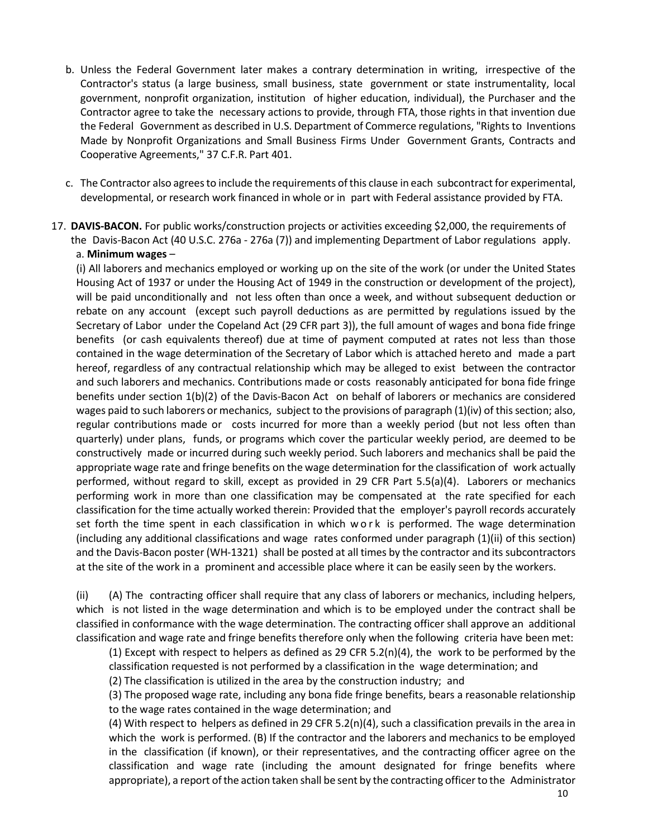- b. Unless the Federal Government later makes a contrary determination in writing, irrespective of the Contractor's status (a large business, small business, state government or state instrumentality, local government, nonprofit organization, institution of higher education, individual), the Purchaser and the Contractor agree to take the necessary actions to provide, through FTA, those rights in that invention due the Federal Government as described in U.S. Department of Commerce regulations, "Rights to Inventions Made by Nonprofit Organizations and Small Business Firms Under Government Grants, Contracts and Cooperative Agreements," 37 C.F.R. Part 401.
- c. The Contractor also agrees to include the requirements of this clause in each subcontract for experimental, developmental, or research work financed in whole or in part with Federal assistance provided by FTA.

17. **DAVIS-BACON.** For public works/construction projects or activities exceeding \$2,000, the requirements of the Davis-Bacon Act (40 U.S.C. 276a - 276a (7)) and implementing Department of Labor regulations apply. a. **Minimum wages** –

(i) All laborers and mechanics employed or working up on the site of the work (or under the United States Housing Act of 1937 or under the Housing Act of 1949 in the construction or development of the project), will be paid unconditionally and not less often than once a week, and without subsequent deduction or rebate on any account (except such payroll deductions as are permitted by regulations issued by the Secretary of Labor under the Copeland Act (29 CFR part 3)), the full amount of wages and bona fide fringe benefits (or cash equivalents thereof) due at time of payment computed at rates not less than those contained in the wage determination of the Secretary of Labor which is attached hereto and made a part hereof, regardless of any contractual relationship which may be alleged to exist between the contractor and such laborers and mechanics. Contributions made or costs reasonably anticipated for bona fide fringe benefits under section 1(b)(2) of the Davis-Bacon Act on behalf of laborers or mechanics are considered wages paid to such laborers or mechanics, subject to the provisions of paragraph (1)(iv) of this section; also, regular contributions made or costs incurred for more than a weekly period (but not less often than quarterly) under plans, funds, or programs which cover the particular weekly period, are deemed to be constructively made or incurred during such weekly period. Such laborers and mechanics shall be paid the appropriate wage rate and fringe benefits on the wage determination for the classification of work actually performed, without regard to skill, except as provided in 29 CFR Part 5.5(a)(4). Laborers or mechanics performing work in more than one classification may be compensated at the rate specified for each classification for the time actually worked therein: Provided that the employer's payroll records accurately set forth the time spent in each classification in which work is performed. The wage determination (including any additional classifications and wage rates conformed under paragraph (1)(ii) of this section) and the Davis-Bacon poster (WH-1321) shall be posted at all times by the contractor and its subcontractors at the site of the work in a prominent and accessible place where it can be easily seen by the workers.

(ii) (A) The contracting officer shall require that any class of laborers or mechanics, including helpers, which is not listed in the wage determination and which is to be employed under the contract shall be classified in conformance with the wage determination. The contracting officer shall approve an additional classification and wage rate and fringe benefits therefore only when the following criteria have been met:

(1) Except with respect to helpers as defined as 29 CFR 5.2(n)(4), the work to be performed by the classification requested is not performed by a classification in the wage determination; and

(2) The classification is utilized in the area by the construction industry; and

(3) The proposed wage rate, including any bona fide fringe benefits, bears a reasonable relationship to the wage rates contained in the wage determination; and

(4) With respect to helpers as defined in 29 CFR 5.2(n)(4), such a classification prevails in the area in which the work is performed. (B) If the contractor and the laborers and mechanics to be employed in the classification (if known), or their representatives, and the contracting officer agree on the classification and wage rate (including the amount designated for fringe benefits where appropriate), a report ofthe action taken shall be sent by the contracting officer to the Administrator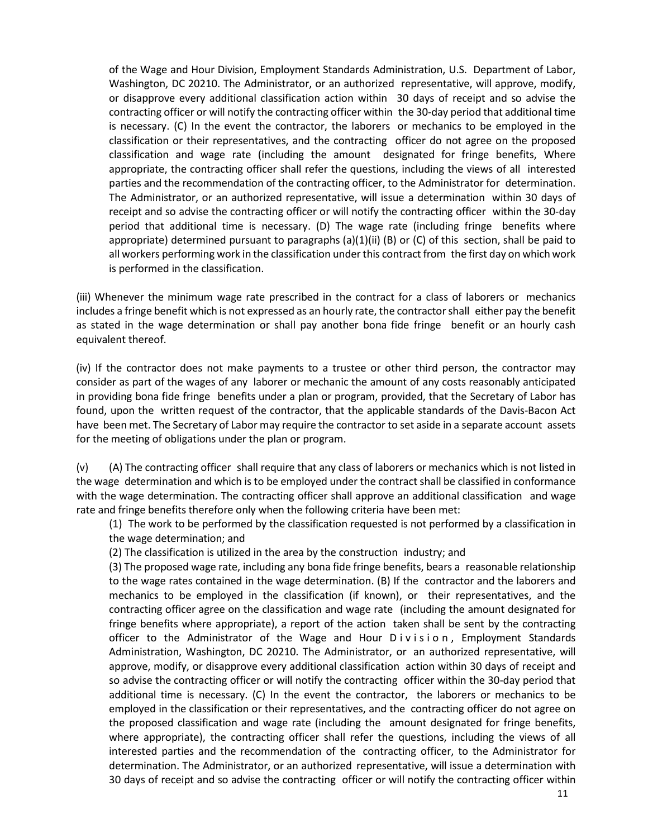of the Wage and Hour Division, Employment Standards Administration, U.S. Department of Labor, Washington, DC 20210. The Administrator, or an authorized representative, will approve, modify, or disapprove every additional classification action within 30 days of receipt and so advise the contracting officer or will notify the contracting officer within the 30-day period that additional time is necessary. (C) In the event the contractor, the laborers or mechanics to be employed in the classification or their representatives, and the contracting officer do not agree on the proposed classification and wage rate (including the amount designated for fringe benefits, Where appropriate, the contracting officer shall refer the questions, including the views of all interested parties and the recommendation of the contracting officer, to the Administrator for determination. The Administrator, or an authorized representative, will issue a determination within 30 days of receipt and so advise the contracting officer or will notify the contracting officer within the 30-day period that additional time is necessary. (D) The wage rate (including fringe benefits where appropriate) determined pursuant to paragraphs  $(a)(1)(ii)$  (B) or (C) of this section, shall be paid to all workers performing work in the classification under this contract from the first day on which work is performed in the classification.

(iii) Whenever the minimum wage rate prescribed in the contract for a class of laborers or mechanics includes a fringe benefit which is not expressed as an hourly rate, the contractorshall either pay the benefit as stated in the wage determination or shall pay another bona fide fringe benefit or an hourly cash equivalent thereof.

(iv) If the contractor does not make payments to a trustee or other third person, the contractor may consider as part of the wages of any laborer or mechanic the amount of any costs reasonably anticipated in providing bona fide fringe benefits under a plan or program, provided, that the Secretary of Labor has found, upon the written request of the contractor, that the applicable standards of the Davis-Bacon Act have been met. The Secretary of Labor may require the contractor to set aside in a separate account assets for the meeting of obligations under the plan or program.

(v) (A) The contracting officer shall require that any class of laborers or mechanics which is not listed in the wage determination and which is to be employed under the contract shall be classified in conformance with the wage determination. The contracting officer shall approve an additional classification and wage rate and fringe benefits therefore only when the following criteria have been met:

(1) The work to be performed by the classification requested is not performed by a classification in the wage determination; and

(2) The classification is utilized in the area by the construction industry; and

(3) The proposed wage rate, including any bona fide fringe benefits, bears a reasonable relationship to the wage rates contained in the wage determination. (B) If the contractor and the laborers and mechanics to be employed in the classification (if known), or their representatives, and the contracting officer agree on the classification and wage rate (including the amount designated for fringe benefits where appropriate), a report of the action taken shall be sent by the contracting officer to the Administrator of the Wage and Hour Division , Employment Standards Administration, Washington, DC 20210. The Administrator, or an authorized representative, will approve, modify, or disapprove every additional classification action within 30 days of receipt and so advise the contracting officer or will notify the contracting officer within the 30-day period that additional time is necessary. (C) In the event the contractor, the laborers or mechanics to be employed in the classification or their representatives, and the contracting officer do not agree on the proposed classification and wage rate (including the amount designated for fringe benefits, where appropriate), the contracting officer shall refer the questions, including the views of all interested parties and the recommendation of the contracting officer, to the Administrator for determination. The Administrator, or an authorized representative, will issue a determination with 30 days of receipt and so advise the contracting officer or will notify the contracting officer within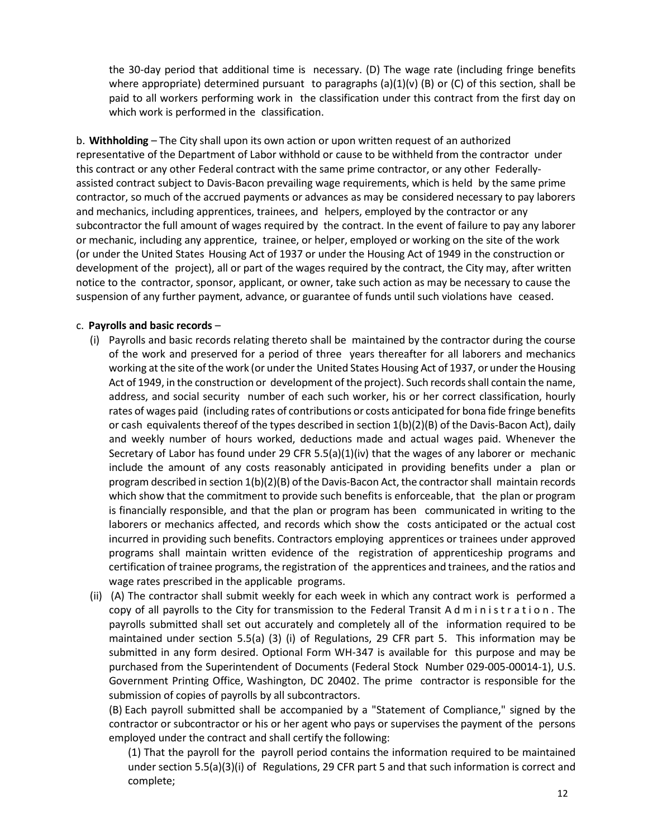the 30-day period that additional time is necessary. (D) The wage rate (including fringe benefits where appropriate) determined pursuant to paragraphs (a)(1)(v) (B) or (C) of this section, shall be paid to all workers performing work in the classification under this contract from the first day on which work is performed in the classification.

b. **Withholding** – The City shall upon its own action or upon written request of an authorized representative of the Department of Labor withhold or cause to be withheld from the contractor under this contract or any other Federal contract with the same prime contractor, or any other Federallyassisted contract subject to Davis-Bacon prevailing wage requirements, which is held by the same prime contractor, so much of the accrued payments or advances as may be considered necessary to pay laborers and mechanics, including apprentices, trainees, and helpers, employed by the contractor or any subcontractor the full amount of wages required by the contract. In the event of failure to pay any laborer or mechanic, including any apprentice, trainee, or helper, employed or working on the site of the work (or under the United States Housing Act of 1937 or under the Housing Act of 1949 in the construction or development of the project), all or part of the wages required by the contract, the City may, after written notice to the contractor, sponsor, applicant, or owner, take such action as may be necessary to cause the suspension of any further payment, advance, or guarantee of funds until such violations have ceased.

## c. **Payrolls and basic records** –

- (i) Payrolls and basic records relating thereto shall be maintained by the contractor during the course of the work and preserved for a period of three years thereafter for all laborers and mechanics working at the site of the work (or under the United States Housing Act of 1937, or under the Housing Act of 1949, in the construction or development of the project). Such records shall contain the name, address, and social security number of each such worker, his or her correct classification, hourly rates of wages paid (including rates of contributions or costs anticipated for bona fide fringe benefits or cash equivalents thereof of the types described in section 1(b)(2)(B) of the Davis-Bacon Act), daily and weekly number of hours worked, deductions made and actual wages paid. Whenever the Secretary of Labor has found under 29 CFR 5.5(a)(1)(iv) that the wages of any laborer or mechanic include the amount of any costs reasonably anticipated in providing benefits under a plan or program described in section 1(b)(2)(B) of the Davis-Bacon Act, the contractor shall maintain records which show that the commitment to provide such benefits is enforceable, that the plan or program is financially responsible, and that the plan or program has been communicated in writing to the laborers or mechanics affected, and records which show the costs anticipated or the actual cost incurred in providing such benefits. Contractors employing apprentices or trainees under approved programs shall maintain written evidence of the registration of apprenticeship programs and certification of trainee programs, the registration of the apprentices and trainees, and the ratios and wage rates prescribed in the applicable programs.
- (ii) (A) The contractor shall submit weekly for each week in which any contract work is performed a copy of all payrolls to the City for transmission to the Federal Transit Administration . The payrolls submitted shall set out accurately and completely all of the information required to be maintained under section 5.5(a) (3) (i) of Regulations, 29 CFR part 5. This information may be submitted in any form desired. Optional Form WH-347 is available for this purpose and may be purchased from the Superintendent of Documents (Federal Stock Number 029-005-00014-1), U.S. Government Printing Office, Washington, DC 20402. The prime contractor is responsible for the submission of copies of payrolls by all subcontractors.

(B) Each payroll submitted shall be accompanied by a "Statement of Compliance," signed by the contractor or subcontractor or his or her agent who pays or supervises the payment of the persons employed under the contract and shall certify the following:

(1) That the payroll for the payroll period contains the information required to be maintained under section 5.5(a)(3)(i) of Regulations, 29 CFR part 5 and that such information is correct and complete;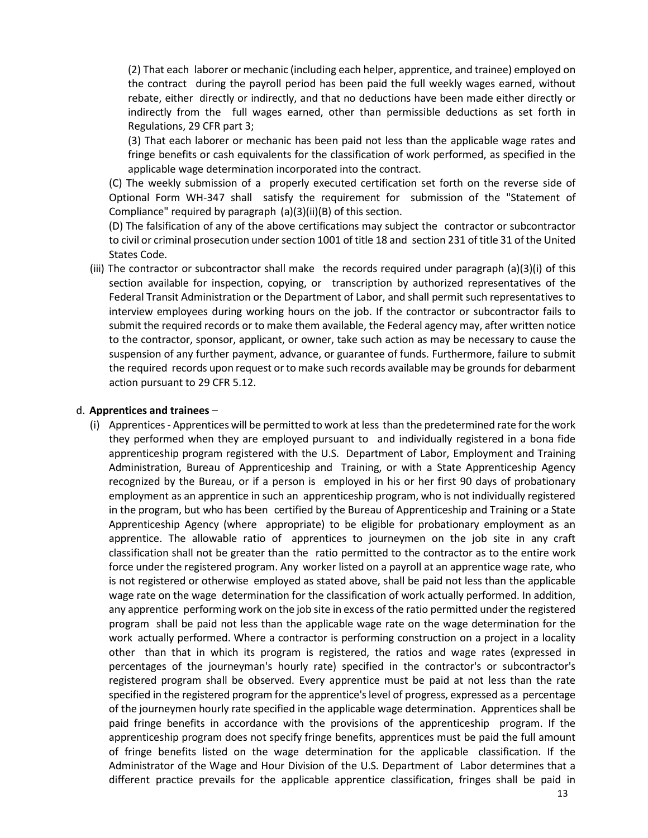(2) That each laborer or mechanic (including each helper, apprentice, and trainee) employed on the contract during the payroll period has been paid the full weekly wages earned, without rebate, either directly or indirectly, and that no deductions have been made either directly or indirectly from the full wages earned, other than permissible deductions as set forth in Regulations, 29 CFR part 3;

(3) That each laborer or mechanic has been paid not less than the applicable wage rates and fringe benefits or cash equivalents for the classification of work performed, as specified in the applicable wage determination incorporated into the contract.

(C) The weekly submission of a properly executed certification set forth on the reverse side of Optional Form WH-347 shall satisfy the requirement for submission of the "Statement of Compliance" required by paragraph (a)(3)(ii)(B) of this section.

(D) The falsification of any of the above certifications may subject the contractor or subcontractor to civil or criminal prosecution under section 1001 of title 18 and section 231 of title 31 of the United States Code.

(iii) The contractor or subcontractor shall make the records required under paragraph (a)(3)(i) of this section available for inspection, copying, or transcription by authorized representatives of the Federal Transit Administration or the Department of Labor, and shall permit such representatives to interview employees during working hours on the job. If the contractor or subcontractor fails to submit the required records or to make them available, the Federal agency may, after written notice to the contractor, sponsor, applicant, or owner, take such action as may be necessary to cause the suspension of any further payment, advance, or guarantee of funds. Furthermore, failure to submit the required records upon request or to make such records available may be grounds for debarment action pursuant to 29 CFR 5.12.

#### d. **Apprentices and trainees** –

(i) Apprentices - Apprentices will be permitted to work at less than the predetermined rate forthe work they performed when they are employed pursuant to and individually registered in a bona fide apprenticeship program registered with the U.S. Department of Labor, Employment and Training Administration, Bureau of Apprenticeship and Training, or with a State Apprenticeship Agency recognized by the Bureau, or if a person is employed in his or her first 90 days of probationary employment as an apprentice in such an apprenticeship program, who is not individually registered in the program, but who has been certified by the Bureau of Apprenticeship and Training or a State Apprenticeship Agency (where appropriate) to be eligible for probationary employment as an apprentice. The allowable ratio of apprentices to journeymen on the job site in any craft classification shall not be greater than the ratio permitted to the contractor as to the entire work force under the registered program. Any worker listed on a payroll at an apprentice wage rate, who is not registered or otherwise employed as stated above, shall be paid not less than the applicable wage rate on the wage determination for the classification of work actually performed. In addition, any apprentice performing work on the job site in excess of the ratio permitted under the registered program shall be paid not less than the applicable wage rate on the wage determination for the work actually performed. Where a contractor is performing construction on a project in a locality other than that in which its program is registered, the ratios and wage rates (expressed in percentages of the journeyman's hourly rate) specified in the contractor's or subcontractor's registered program shall be observed. Every apprentice must be paid at not less than the rate specified in the registered program for the apprentice'slevel of progress, expressed as a percentage of the journeymen hourly rate specified in the applicable wage determination. Apprentices shall be paid fringe benefits in accordance with the provisions of the apprenticeship program. If the apprenticeship program does not specify fringe benefits, apprentices must be paid the full amount of fringe benefits listed on the wage determination for the applicable classification. If the Administrator of the Wage and Hour Division of the U.S. Department of Labor determines that a different practice prevails for the applicable apprentice classification, fringes shall be paid in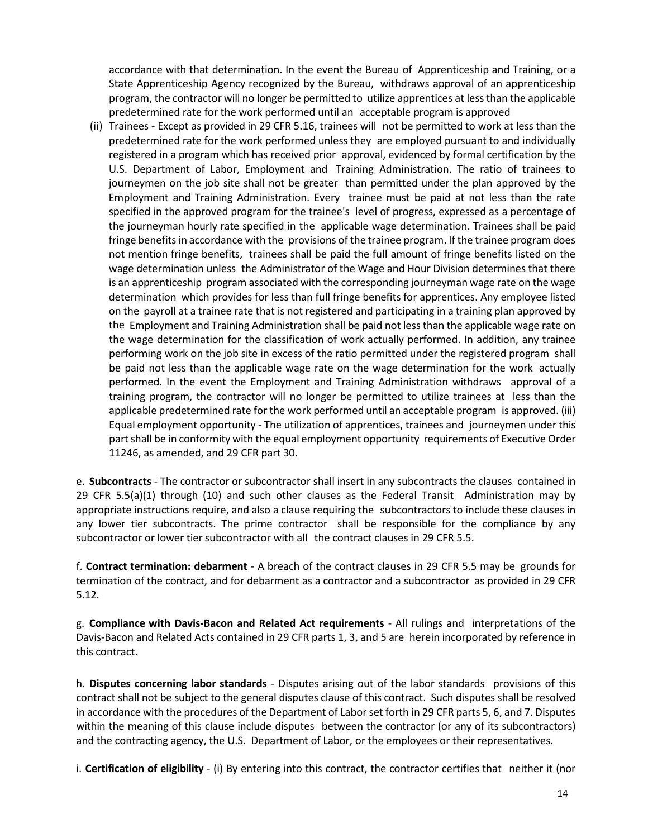accordance with that determination. In the event the Bureau of Apprenticeship and Training, or a State Apprenticeship Agency recognized by the Bureau, withdraws approval of an apprenticeship program, the contractor will no longer be permitted to utilize apprentices at lessthan the applicable predetermined rate for the work performed until an acceptable program is approved

(ii) Trainees - Except as provided in 29 CFR 5.16, trainees will not be permitted to work at less than the predetermined rate for the work performed unless they are employed pursuant to and individually registered in a program which has received prior approval, evidenced by formal certification by the U.S. Department of Labor, Employment and Training Administration. The ratio of trainees to journeymen on the job site shall not be greater than permitted under the plan approved by the Employment and Training Administration. Every trainee must be paid at not less than the rate specified in the approved program for the trainee's level of progress, expressed as a percentage of the journeyman hourly rate specified in the applicable wage determination. Trainees shall be paid fringe benefits in accordance with the provisions of the trainee program. If the trainee program does not mention fringe benefits, trainees shall be paid the full amount of fringe benefits listed on the wage determination unless the Administrator of the Wage and Hour Division determines that there is an apprenticeship program associated with the corresponding journeyman wage rate on the wage determination which provides for less than full fringe benefits for apprentices. Any employee listed on the payroll at a trainee rate that is not registered and participating in a training plan approved by the Employment and Training Administration shall be paid not lessthan the applicable wage rate on the wage determination for the classification of work actually performed. In addition, any trainee performing work on the job site in excess of the ratio permitted under the registered program shall be paid not less than the applicable wage rate on the wage determination for the work actually performed. In the event the Employment and Training Administration withdraws approval of a training program, the contractor will no longer be permitted to utilize trainees at less than the applicable predetermined rate for the work performed until an acceptable program is approved. (iii) Equal employment opportunity - The utilization of apprentices, trainees and journeymen under this part shall be in conformity with the equal employment opportunity requirements of Executive Order 11246, as amended, and 29 CFR part 30.

e. **Subcontracts** - The contractor or subcontractor shall insert in any subcontracts the clauses contained in 29 CFR 5.5(a)(1) through (10) and such other clauses as the Federal Transit Administration may by appropriate instructions require, and also a clause requiring the subcontractors to include these clauses in any lower tier subcontracts. The prime contractor shall be responsible for the compliance by any subcontractor or lower tier subcontractor with all the contract clauses in 29 CFR 5.5.

f. **Contract termination: debarment** - A breach of the contract clauses in 29 CFR 5.5 may be grounds for termination of the contract, and for debarment as a contractor and a subcontractor as provided in 29 CFR 5.12.

g. **Compliance with Davis-Bacon and Related Act requirements** - All rulings and interpretations of the Davis-Bacon and Related Acts contained in 29 CFR parts 1, 3, and 5 are herein incorporated by reference in this contract.

h. **Disputes concerning labor standards** - Disputes arising out of the labor standards provisions of this contract shall not be subject to the general disputes clause of this contract. Such disputes shall be resolved in accordance with the procedures of the Department of Labor set forth in 29 CFR parts 5, 6, and 7. Disputes within the meaning of this clause include disputes between the contractor (or any of its subcontractors) and the contracting agency, the U.S. Department of Labor, or the employees or their representatives.

i. **Certification of eligibility** - (i) By entering into this contract, the contractor certifies that neither it (nor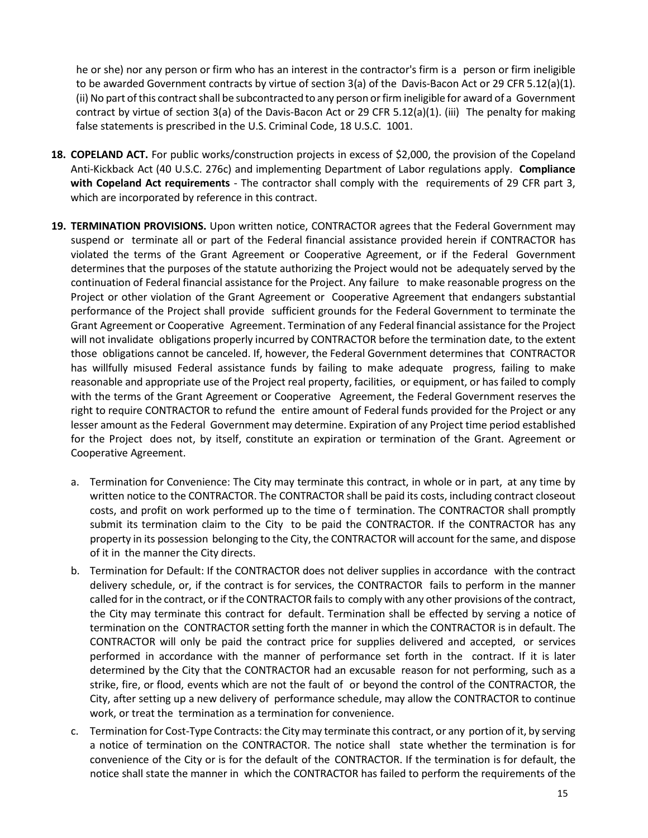he or she) nor any person or firm who has an interest in the contractor's firm is a person or firm ineligible to be awarded Government contracts by virtue of section 3(a) of the Davis-Bacon Act or 29 CFR 5.12(a)(1). (ii) No part of this contract shall be subcontracted to any person or firm ineligible for award of a Government contract by virtue of section 3(a) of the Davis-Bacon Act or 29 CFR 5.12(a)(1). (iii) The penalty for making false statements is prescribed in the U.S. Criminal Code, 18 U.S.C. 1001.

- **18. COPELAND ACT.** For public works/construction projects in excess of \$2,000, the provision of the Copeland Anti-Kickback Act (40 U.S.C. 276c) and implementing Department of Labor regulations apply. **Compliance with Copeland Act requirements** - The contractor shall comply with the requirements of 29 CFR part 3, which are incorporated by reference in this contract.
- **19. TERMINATION PROVISIONS.** Upon written notice, CONTRACTOR agrees that the Federal Government may suspend or terminate all or part of the Federal financial assistance provided herein if CONTRACTOR has violated the terms of the Grant Agreement or Cooperative Agreement, or if the Federal Government determines that the purposes of the statute authorizing the Project would not be adequately served by the continuation of Federal financial assistance for the Project. Any failure to make reasonable progress on the Project or other violation of the Grant Agreement or Cooperative Agreement that endangers substantial performance of the Project shall provide sufficient grounds for the Federal Government to terminate the Grant Agreement or Cooperative Agreement. Termination of any Federal financial assistance for the Project will not invalidate obligations properly incurred by CONTRACTOR before the termination date, to the extent those obligations cannot be canceled. If, however, the Federal Government determines that CONTRACTOR has willfully misused Federal assistance funds by failing to make adequate progress, failing to make reasonable and appropriate use of the Project real property, facilities, or equipment, or hasfailed to comply with the terms of the Grant Agreement or Cooperative Agreement, the Federal Government reserves the right to require CONTRACTOR to refund the entire amount of Federal funds provided for the Project or any lesser amount as the Federal Government may determine. Expiration of any Project time period established for the Project does not, by itself, constitute an expiration or termination of the Grant. Agreement or Cooperative Agreement.
	- a. Termination for Convenience: The City may terminate this contract, in whole or in part, at any time by written notice to the CONTRACTOR. The CONTRACTOR shall be paid its costs, including contract closeout costs, and profit on work performed up to the time o f termination. The CONTRACTOR shall promptly submit its termination claim to the City to be paid the CONTRACTOR. If the CONTRACTOR has any property in its possession belonging to the City, the CONTRACTOR will account for the same, and dispose of it in the manner the City directs.
	- b. Termination for Default: If the CONTRACTOR does not deliver supplies in accordance with the contract delivery schedule, or, if the contract is for services, the CONTRACTOR fails to perform in the manner called for in the contract, or if the CONTRACTOR fails to comply with any other provisions of the contract, the City may terminate this contract for default. Termination shall be effected by serving a notice of termination on the CONTRACTOR setting forth the manner in which the CONTRACTOR is in default. The CONTRACTOR will only be paid the contract price for supplies delivered and accepted, or services performed in accordance with the manner of performance set forth in the contract. If it is later determined by the City that the CONTRACTOR had an excusable reason for not performing, such as a strike, fire, or flood, events which are not the fault of or beyond the control of the CONTRACTOR, the City, after setting up a new delivery of performance schedule, may allow the CONTRACTOR to continue work, or treat the termination as a termination for convenience.
	- c. Termination for Cost-Type Contracts: the City may terminate this contract, or any portion of it, by serving a notice of termination on the CONTRACTOR. The notice shall state whether the termination is for convenience of the City or is for the default of the CONTRACTOR. If the termination is for default, the notice shall state the manner in which the CONTRACTOR has failed to perform the requirements of the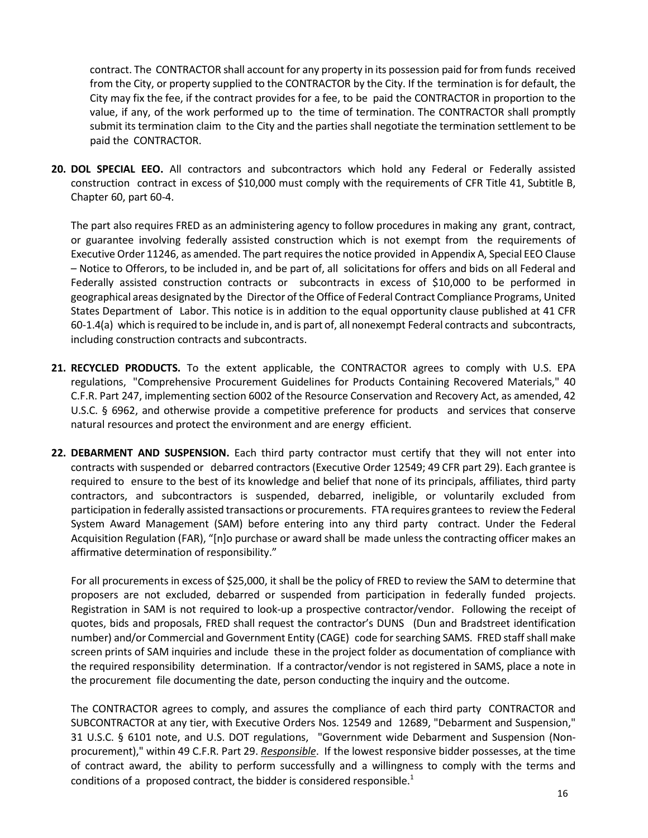contract. The CONTRACTOR shall account for any property in its possession paid forfrom funds received from the City, or property supplied to the CONTRACTOR by the City. If the termination is for default, the City may fix the fee, if the contract provides for a fee, to be paid the CONTRACTOR in proportion to the value, if any, of the work performed up to the time of termination. The CONTRACTOR shall promptly submit its termination claim to the City and the parties shall negotiate the termination settlement to be paid the CONTRACTOR.

**20. DOL SPECIAL EEO.** All contractors and subcontractors which hold any Federal or Federally assisted construction contract in excess of \$10,000 must comply with the requirements of CFR Title 41, Subtitle B, Chapter 60, part 60-4.

The part also requires FRED as an administering agency to follow procedures in making any grant, contract, or guarantee involving federally assisted construction which is not exempt from the requirements of Executive Order 11246, as amended. The part requires the notice provided in Appendix A, Special EEO Clause – Notice to Offerors, to be included in, and be part of, all solicitations for offers and bids on all Federal and Federally assisted construction contracts or subcontracts in excess of \$10,000 to be performed in geographical areas designated by the Director of theOffice of Federal Contract Compliance Programs, United States Department of Labor. This notice is in addition to the equal opportunity clause published at 41 CFR 60-1.4(a) which is required to be include in, and is part of, all nonexempt Federal contracts and subcontracts, including construction contracts and subcontracts.

- **21. RECYCLED PRODUCTS.** To the extent applicable, the CONTRACTOR agrees to comply with U.S. EPA regulations, "Comprehensive Procurement Guidelines for Products Containing Recovered Materials," 40 C.F.R. Part 247, implementing section 6002 of the Resource Conservation and Recovery Act, as amended, 42 U.S.C. § 6962, and otherwise provide a competitive preference for products and services that conserve natural resources and protect the environment and are energy efficient.
- **22. DEBARMENT AND SUSPENSION.** Each third party contractor must certify that they will not enter into contracts with suspended or debarred contractors (Executive Order 12549; 49 CFR part 29). Each grantee is required to ensure to the best of its knowledge and belief that none of its principals, affiliates, third party contractors, and subcontractors is suspended, debarred, ineligible, or voluntarily excluded from participation in federally assisted transactions or procurements. FTA requires granteesto review the Federal System Award Management (SAM) before entering into any third party contract. Under the Federal Acquisition Regulation (FAR), "[n]o purchase or award shall be made unless the contracting officer makes an affirmative determination of responsibility."

For all procurements in excess of \$25,000, it shall be the policy of FRED to review the SAM to determine that proposers are not excluded, debarred or suspended from participation in federally funded projects. Registration in SAM is not required to look-up a prospective contractor/vendor. Following the receipt of quotes, bids and proposals, FRED shall request the contractor's DUNS (Dun and Bradstreet identification number) and/or Commercial and Government Entity (CAGE) code forsearching SAMS. FRED staff shall make screen prints of SAM inquiries and include these in the project folder as documentation of compliance with the required responsibility determination. If a contractor/vendor is not registered in SAMS, place a note in the procurement file documenting the date, person conducting the inquiry and the outcome.

The CONTRACTOR agrees to comply, and assures the compliance of each third party CONTRACTOR and SUBCONTRACTOR at any tier, with Executive Orders Nos. 12549 and 12689, "Debarment and Suspension," 31 U.S.C. § 6101 note, and U.S. DOT regulations, "Government wide Debarment and Suspension (Nonprocurement)," within 49 C.F.R. Part 29. *Responsible*. If the lowest responsive bidder possesses, at the time of contract award, the ability to perform successfully and a willingness to comply with the terms and conditions of a proposed contract, the bidder is considered responsible.<sup>1</sup>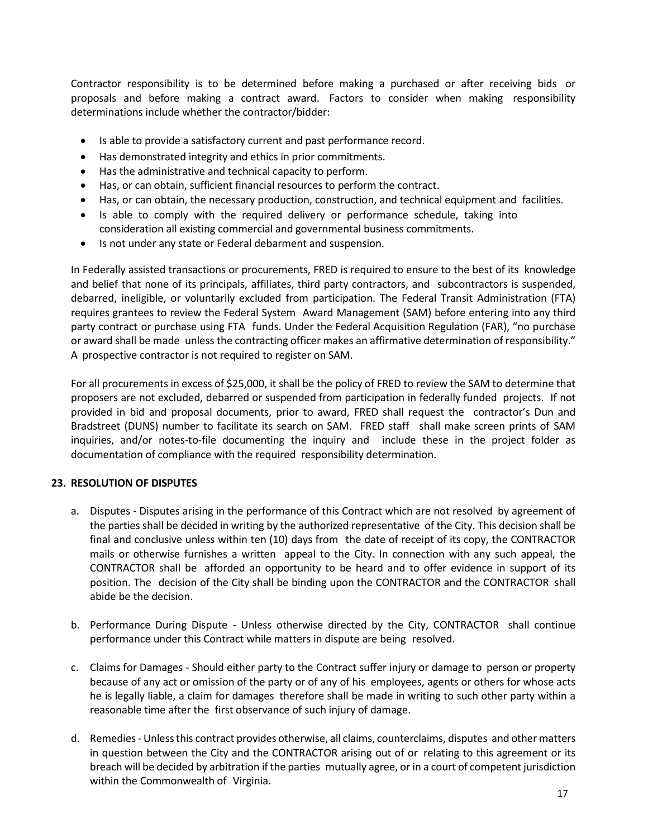Contractor responsibility is to be determined before making a purchased or after receiving bids or proposals and before making a contract award. Factors to consider when making responsibility determinations include whether the contractor/bidder:

- Is able to provide a satisfactory current and past performance record.
- Has demonstrated integrity and ethics in prior commitments.
- Has the administrative and technical capacity to perform.
- Has, or can obtain, sufficient financial resources to perform the contract.
- Has, or can obtain, the necessary production, construction, and technical equipment and facilities.
- Is able to comply with the required delivery or performance schedule, taking into consideration all existing commercial and governmental business commitments.
- Is not under any state or Federal debarment and suspension.

In Federally assisted transactions or procurements, FRED is required to ensure to the best of its knowledge and belief that none of its principals, affiliates, third party contractors, and subcontractors is suspended, debarred, ineligible, or voluntarily excluded from participation. The Federal Transit Administration (FTA) requires grantees to review the Federal System Award Management (SAM) before entering into any third party contract or purchase using FTA funds. Under the Federal Acquisition Regulation (FAR), "no purchase or award shall be made unless the contracting officer makes an affirmative determination of responsibility." A prospective contractor is not required to register on SAM.

For all procurements in excess of \$25,000, it shall be the policy of FRED to review the SAM to determine that proposers are not excluded, debarred or suspended from participation in federally funded projects. If not provided in bid and proposal documents, prior to award, FRED shall request the contractor's Dun and Bradstreet (DUNS) number to facilitate its search on SAM. FRED staff shall make screen prints of SAM inquiries, and/or notes-to-file documenting the inquiry and include these in the project folder as documentation of compliance with the required responsibility determination.

## **23. RESOLUTION OF DISPUTES**

- a. Disputes Disputes arising in the performance of this Contract which are not resolved by agreement of the parties shall be decided in writing by the authorized representative of the City. This decision shall be final and conclusive unless within ten (10) days from the date of receipt of its copy, the CONTRACTOR mails or otherwise furnishes a written appeal to the City. In connection with any such appeal, the CONTRACTOR shall be afforded an opportunity to be heard and to offer evidence in support of its position. The decision of the City shall be binding upon the CONTRACTOR and the CONTRACTOR shall abide be the decision.
- b. Performance During Dispute Unless otherwise directed by the City, CONTRACTOR shall continue performance under this Contract while matters in dispute are being resolved.
- c. Claims for Damages Should either party to the Contract suffer injury or damage to person or property because of any act or omission of the party or of any of his employees, agents or others for whose acts he is legally liable, a claim for damages therefore shall be made in writing to such other party within a reasonable time after the first observance of such injury of damage.
- d. Remedies- Unlessthis contract provides otherwise, all claims, counterclaims, disputes and other matters in question between the City and the CONTRACTOR arising out of or relating to this agreement or its breach will be decided by arbitration if the parties mutually agree, or in a court of competent jurisdiction within the Commonwealth of Virginia.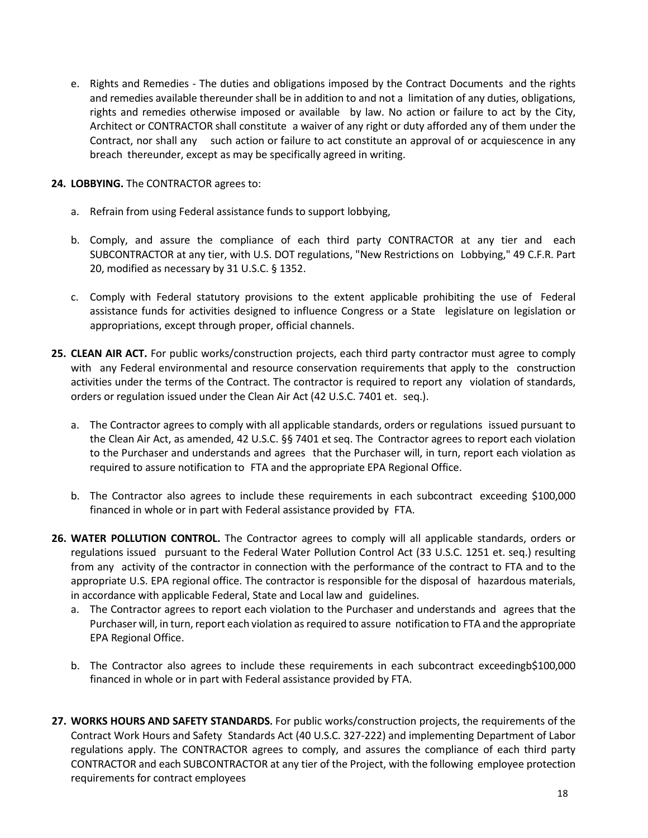- e. Rights and Remedies The duties and obligations imposed by the Contract Documents and the rights and remedies available thereunder shall be in addition to and not a limitation of any duties, obligations, rights and remedies otherwise imposed or available by law. No action or failure to act by the City, Architect or CONTRACTOR shall constitute a waiver of any right or duty afforded any of them under the Contract, nor shall any such action or failure to act constitute an approval of or acquiescence in any breach thereunder, except as may be specifically agreed in writing.
- **24. LOBBYING.** The CONTRACTOR agrees to:
	- a. Refrain from using Federal assistance funds to support lobbying,
	- b. Comply, and assure the compliance of each third party CONTRACTOR at any tier and each SUBCONTRACTOR at any tier, with U.S. DOT regulations, "New Restrictions on Lobbying," 49 C.F.R. Part 20, modified as necessary by 31 U.S.C. § 1352.
	- c. Comply with Federal statutory provisions to the extent applicable prohibiting the use of Federal assistance funds for activities designed to influence Congress or a State legislature on legislation or appropriations, except through proper, official channels.
- **25. CLEAN AIR ACT.** For public works/construction projects, each third party contractor must agree to comply with any Federal environmental and resource conservation requirements that apply to the construction activities under the terms of the Contract. The contractor is required to report any violation of standards, orders or regulation issued under the Clean Air Act (42 U.S.C. 7401 et. seq.).
	- a. The Contractor agrees to comply with all applicable standards, orders or regulations issued pursuant to the Clean Air Act, as amended, 42 U.S.C. §§ 7401 et seq. The Contractor agrees to report each violation to the Purchaser and understands and agrees that the Purchaser will, in turn, report each violation as required to assure notification to FTA and the appropriate EPA Regional Office.
	- b. The Contractor also agrees to include these requirements in each subcontract exceeding \$100,000 financed in whole or in part with Federal assistance provided by FTA.
- **26. WATER POLLUTION CONTROL.** The Contractor agrees to comply will all applicable standards, orders or regulations issued pursuant to the Federal Water Pollution Control Act (33 U.S.C. 1251 et. seq.) resulting from any activity of the contractor in connection with the performance of the contract to FTA and to the appropriate U.S. EPA regional office. The contractor is responsible for the disposal of hazardous materials, in accordance with applicable Federal, State and Local law and guidelines.
	- a. The Contractor agrees to report each violation to the Purchaser and understands and agrees that the Purchaser will, in turn, report each violation asrequired to assure notification to FTA and the appropriate EPA Regional Office.
	- b. The Contractor also agrees to include these requirements in each subcontract exceedingb\$100,000 financed in whole or in part with Federal assistance provided by FTA.
- **27. WORKS HOURS AND SAFETY STANDARDS.** For public works/construction projects, the requirements of the Contract Work Hours and Safety Standards Act (40 U.S.C. 327-222) and implementing Department of Labor regulations apply. The CONTRACTOR agrees to comply, and assures the compliance of each third party CONTRACTOR and each SUBCONTRACTOR at any tier of the Project, with the following employee protection requirements for contract employees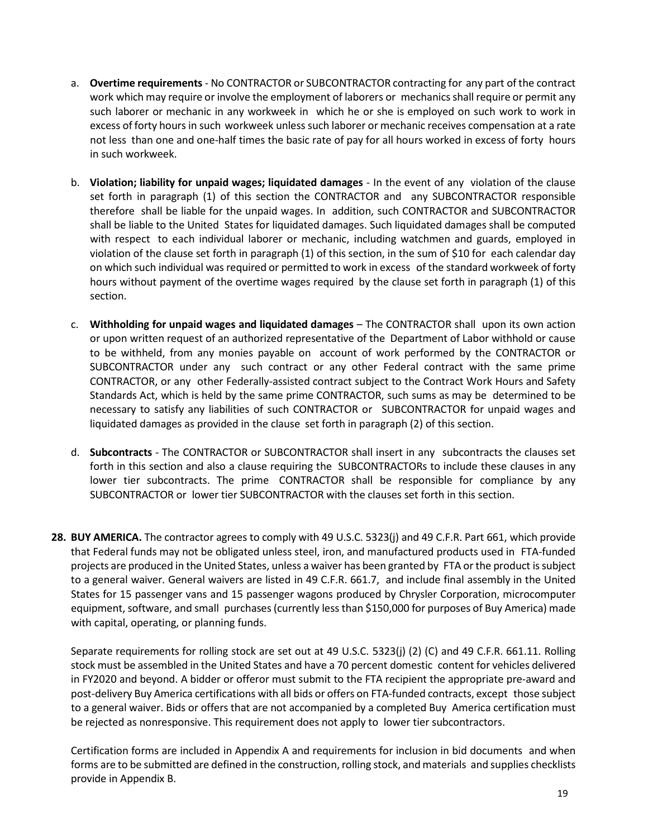- a. **Overtime requirements** No CONTRACTOR or SUBCONTRACTOR contracting for any part of the contract work which may require or involve the employment of laborers or mechanics shall require or permit any such laborer or mechanic in any workweek in which he or she is employed on such work to work in excess of forty hours in such workweek unless such laborer or mechanic receives compensation at a rate not less than one and one-half times the basic rate of pay for all hours worked in excess of forty hours in such workweek.
- b. **Violation; liability for unpaid wages; liquidated damages** In the event of any violation of the clause set forth in paragraph (1) of this section the CONTRACTOR and any SUBCONTRACTOR responsible therefore shall be liable for the unpaid wages. In addition, such CONTRACTOR and SUBCONTRACTOR shall be liable to the United States for liquidated damages. Such liquidated damages shall be computed with respect to each individual laborer or mechanic, including watchmen and guards, employed in violation of the clause set forth in paragraph (1) of this section, in the sum of \$10 for each calendar day on which such individual was required or permitted to work in excess of the standard workweek of forty hours without payment of the overtime wages required by the clause set forth in paragraph (1) of this section.
- c. **Withholding for unpaid wages and liquidated damages** The CONTRACTOR shall upon its own action or upon written request of an authorized representative of the Department of Labor withhold or cause to be withheld, from any monies payable on account of work performed by the CONTRACTOR or SUBCONTRACTOR under any such contract or any other Federal contract with the same prime CONTRACTOR, or any other Federally-assisted contract subject to the Contract Work Hours and Safety Standards Act, which is held by the same prime CONTRACTOR, such sums as may be determined to be necessary to satisfy any liabilities of such CONTRACTOR or SUBCONTRACTOR for unpaid wages and liquidated damages as provided in the clause set forth in paragraph (2) of this section.
- d. **Subcontracts**  The CONTRACTOR or SUBCONTRACTOR shall insert in any subcontracts the clauses set forth in this section and also a clause requiring the SUBCONTRACTORs to include these clauses in any lower tier subcontracts. The prime CONTRACTOR shall be responsible for compliance by any SUBCONTRACTOR or lower tier SUBCONTRACTOR with the clauses set forth in this section.
- **28. BUY AMERICA.** The contractor agrees to comply with 49 U.S.C. 5323(j) and 49 C.F.R. Part 661, which provide that Federal funds may not be obligated unless steel, iron, and manufactured products used in FTA-funded projects are produced in the United States, unless a waiver has been granted by FTA orthe product issubject to a general waiver. General waivers are listed in 49 C.F.R. 661.7, and include final assembly in the United States for 15 passenger vans and 15 passenger wagons produced by Chrysler Corporation, microcomputer equipment, software, and small purchases (currently less than \$150,000 for purposes of Buy America) made with capital, operating, or planning funds.

Separate requirements for rolling stock are set out at 49 U.S.C. 5323(j) (2) (C) and 49 C.F.R. 661.11. Rolling stock must be assembled in the United States and have a 70 percent domestic content for vehicles delivered in FY2020 and beyond. A bidder or offeror must submit to the FTA recipient the appropriate pre-award and post-delivery Buy America certifications with all bids or offers on FTA-funded contracts, except those subject to a general waiver. Bids or offers that are not accompanied by a completed Buy America certification must be rejected as nonresponsive. This requirement does not apply to lower tier subcontractors.

Certification forms are included in Appendix A and requirements for inclusion in bid documents and when forms are to be submitted are defined in the construction, rolling stock, andmaterials and supplies checklists provide in Appendix B.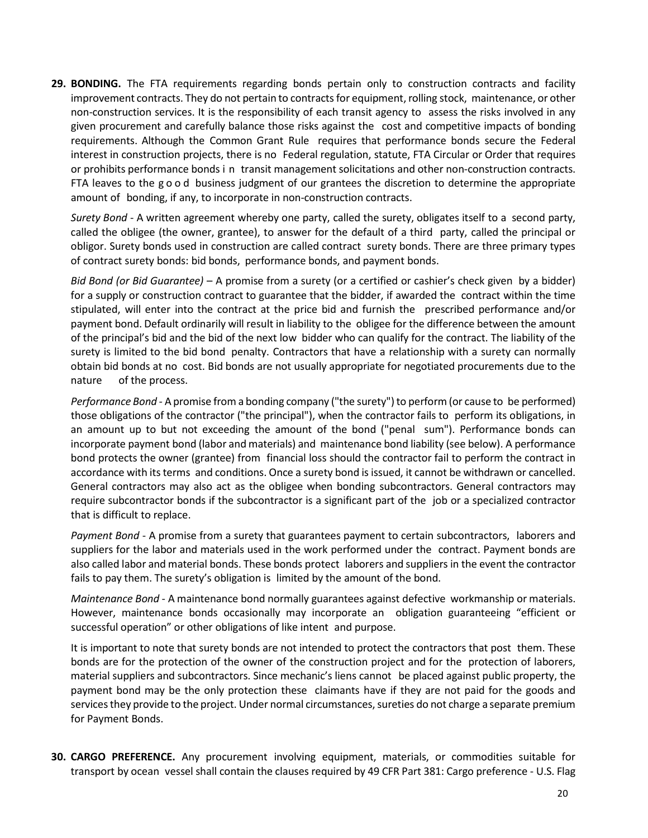**29. BONDING.** The FTA requirements regarding bonds pertain only to construction contracts and facility improvement contracts. They do not pertain to contracts for equipment, rolling stock, maintenance, or other non-construction services. It is the responsibility of each transit agency to assess the risks involved in any given procurement and carefully balance those risks against the cost and competitive impacts of bonding requirements. Although the Common Grant Rule requires that performance bonds secure the Federal interest in construction projects, there is no Federal regulation, statute, FTA Circular or Order that requires or prohibits performance bonds i n transit management solicitations and other non-construction contracts. FTA leaves to the good business judgment of our grantees the discretion to determine the appropriate amount of bonding, if any, to incorporate in non-construction contracts.

*Surety Bond* - A written agreement whereby one party, called the surety, obligates itself to a second party, called the obligee (the owner, grantee), to answer for the default of a third party, called the principal or obligor. Surety bonds used in construction are called contract surety bonds. There are three primary types of contract surety bonds: bid bonds, performance bonds, and payment bonds.

*Bid Bond (or Bid Guarantee)* – A promise from a surety (or a certified or cashier's check given by a bidder) for a supply or construction contract to guarantee that the bidder, if awarded the contract within the time stipulated, will enter into the contract at the price bid and furnish the prescribed performance and/or payment bond. Default ordinarily will result in liability to the obligee for the difference between the amount of the principal's bid and the bid of the next low bidder who can qualify for the contract. The liability of the surety is limited to the bid bond penalty. Contractors that have a relationship with a surety can normally obtain bid bonds at no cost. Bid bonds are not usually appropriate for negotiated procurements due to the nature of the process.

*Performance Bond* - A promise from a bonding company ("the surety") to perform (or cause to be performed) those obligations of the contractor ("the principal"), when the contractor fails to perform its obligations, in an amount up to but not exceeding the amount of the bond ("penal sum"). Performance bonds can incorporate payment bond (labor and materials) and maintenance bond liability (see below). A performance bond protects the owner (grantee) from financial loss should the contractor fail to perform the contract in accordance with its terms and conditions. Once a surety bond is issued, it cannot be withdrawn or cancelled. General contractors may also act as the obligee when bonding subcontractors. General contractors may require subcontractor bonds if the subcontractor is a significant part of the job or a specialized contractor that is difficult to replace.

*Payment Bond* - A promise from a surety that guarantees payment to certain subcontractors, laborers and suppliers for the labor and materials used in the work performed under the contract. Payment bonds are also called labor and material bonds. These bonds protect laborers and suppliers in the event the contractor fails to pay them. The surety's obligation is limited by the amount of the bond.

*Maintenance Bond* - A maintenance bond normally guarantees against defective workmanship or materials. However, maintenance bonds occasionally may incorporate an obligation guaranteeing "efficient or successful operation" or other obligations of like intent and purpose.

It is important to note that surety bonds are not intended to protect the contractors that post them. These bonds are for the protection of the owner of the construction project and for the protection of laborers, material suppliers and subcontractors. Since mechanic's liens cannot be placed against public property, the payment bond may be the only protection these claimants have if they are not paid for the goods and servicesthey provide to the project. Under normal circumstances, sureties do not charge a separate premium for Payment Bonds.

**30. CARGO PREFERENCE.** Any procurement involving equipment, materials, or commodities suitable for transport by ocean vessel shall contain the clauses required by 49 CFR Part 381: Cargo preference - U.S. Flag